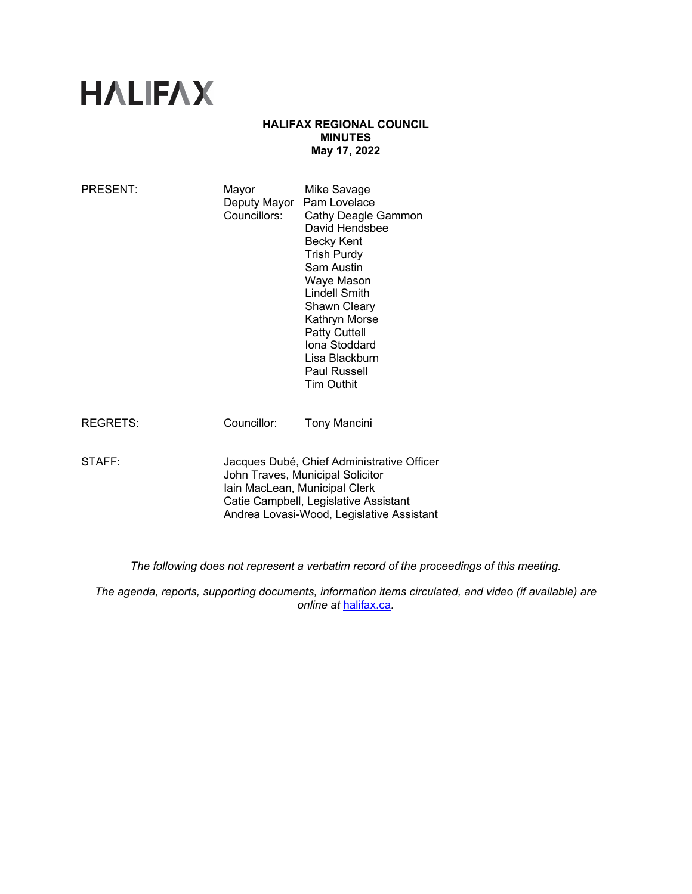# **HALIFAX**

# **HALIFAX REGIONAL COUNCIL MINUTES May 17, 2022**

| PRESENT:        | Mayor<br>Deputy Mayor<br>Councillors:                                                                                                                                                                 | Mike Savage<br>Pam Lovelace<br>Cathy Deagle Gammon<br>David Hendsbee<br><b>Becky Kent</b><br><b>Trish Purdy</b><br>Sam Austin<br>Waye Mason<br><b>Lindell Smith</b><br><b>Shawn Cleary</b><br>Kathryn Morse<br><b>Patty Cuttell</b><br>Iona Stoddard<br>Lisa Blackburn<br><b>Paul Russell</b><br><b>Tim Outhit</b> |
|-----------------|-------------------------------------------------------------------------------------------------------------------------------------------------------------------------------------------------------|--------------------------------------------------------------------------------------------------------------------------------------------------------------------------------------------------------------------------------------------------------------------------------------------------------------------|
| <b>REGRETS:</b> | Councillor:                                                                                                                                                                                           | <b>Tony Mancini</b>                                                                                                                                                                                                                                                                                                |
| STAFF:          | Jacques Dubé, Chief Administrative Officer<br>John Traves, Municipal Solicitor<br>Iain MacLean, Municipal Clerk<br>Catie Campbell, Legislative Assistant<br>Andrea Lovasi-Wood, Legislative Assistant |                                                                                                                                                                                                                                                                                                                    |

*The following does not represent a verbatim record of the proceedings of this meeting.* 

*The agenda, reports, supporting documents, information items circulated, and video (if available) are online at* halifax.ca*.*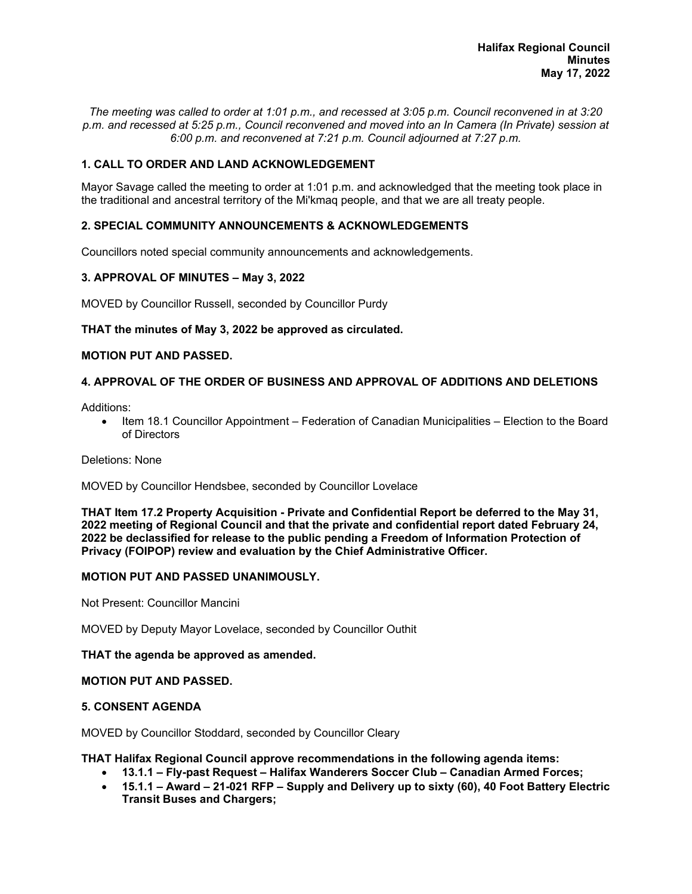*The meeting was called to order at 1:01 p.m., and recessed at 3:05 p.m. Council reconvened in at 3:20 p.m. and recessed at 5:25 p.m., Council reconvened and moved into an In Camera (In Private) session at 6:00 p.m. and reconvened at 7:21 p.m. Council adjourned at 7:27 p.m.* 

# **1. CALL TO ORDER AND LAND ACKNOWLEDGEMENT**

Mayor Savage called the meeting to order at 1:01 p.m. and acknowledged that the meeting took place in the traditional and ancestral territory of the Mi'kmaq people, and that we are all treaty people.

# **2. SPECIAL COMMUNITY ANNOUNCEMENTS & ACKNOWLEDGEMENTS**

Councillors noted special community announcements and acknowledgements.

### **3. APPROVAL OF MINUTES – May 3, 2022**

MOVED by Councillor Russell, seconded by Councillor Purdy

#### **THAT the minutes of May 3, 2022 be approved as circulated.**

#### **MOTION PUT AND PASSED.**

### **4. APPROVAL OF THE ORDER OF BUSINESS AND APPROVAL OF ADDITIONS AND DELETIONS**

Additions:

 Item 18.1 Councillor Appointment – Federation of Canadian Municipalities – Election to the Board of Directors

Deletions: None

MOVED by Councillor Hendsbee, seconded by Councillor Lovelace

**THAT Item 17.2 Property Acquisition - Private and Confidential Report be deferred to the May 31, 2022 meeting of Regional Council and that the private and confidential report dated February 24, 2022 be declassified for release to the public pending a Freedom of Information Protection of Privacy (FOIPOP) review and evaluation by the Chief Administrative Officer.**

#### **MOTION PUT AND PASSED UNANIMOUSLY.**

Not Present: Councillor Mancini

MOVED by Deputy Mayor Lovelace, seconded by Councillor Outhit

#### **THAT the agenda be approved as amended.**

#### **MOTION PUT AND PASSED.**

#### **5. CONSENT AGENDA**

MOVED by Councillor Stoddard, seconded by Councillor Cleary

**THAT Halifax Regional Council approve recommendations in the following agenda items:** 

- **13.1.1 Fly-past Request Halifax Wanderers Soccer Club Canadian Armed Forces;**
- **15.1.1 Award 21-021 RFP Supply and Delivery up to sixty (60), 40 Foot Battery Electric Transit Buses and Chargers;**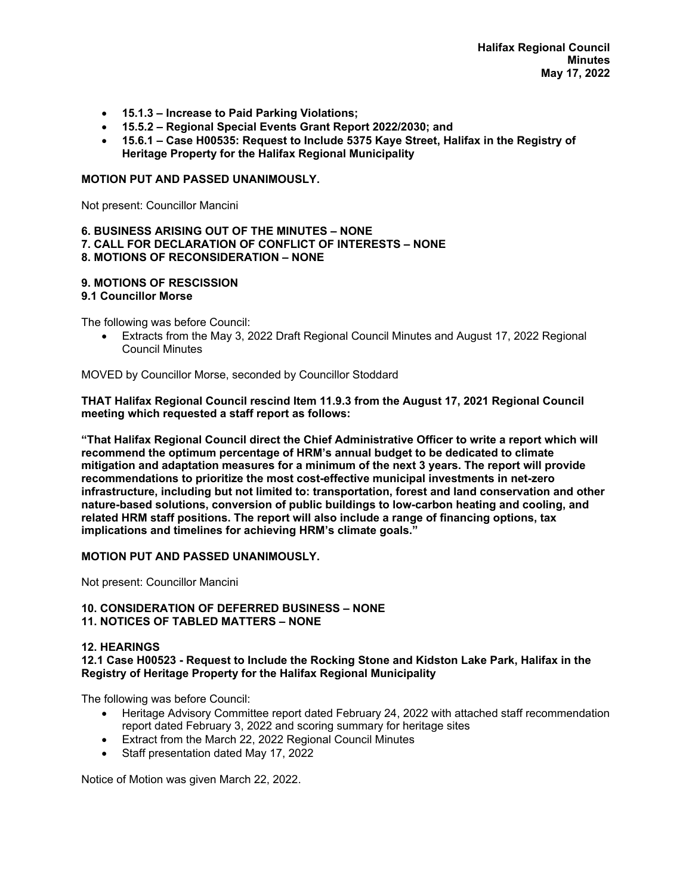- **15.1.3 Increase to Paid Parking Violations;**
- **15.5.2 Regional Special Events Grant Report 2022/2030; and**
- **15.6.1 Case H00535: Request to Include 5375 Kaye Street, Halifax in the Registry of Heritage Property for the Halifax Regional Municipality**

## **MOTION PUT AND PASSED UNANIMOUSLY.**

Not present: Councillor Mancini

#### **6. BUSINESS ARISING OUT OF THE MINUTES – NONE 7. CALL FOR DECLARATION OF CONFLICT OF INTERESTS – NONE 8. MOTIONS OF RECONSIDERATION – NONE**

# **9. MOTIONS OF RESCISSION**

#### **9.1 Councillor Morse**

The following was before Council:

 Extracts from the May 3, 2022 Draft Regional Council Minutes and August 17, 2022 Regional Council Minutes

MOVED by Councillor Morse, seconded by Councillor Stoddard

**THAT Halifax Regional Council rescind Item 11.9.3 from the August 17, 2021 Regional Council meeting which requested a staff report as follows:** 

**"That Halifax Regional Council direct the Chief Administrative Officer to write a report which will recommend the optimum percentage of HRM's annual budget to be dedicated to climate mitigation and adaptation measures for a minimum of the next 3 years. The report will provide recommendations to prioritize the most cost-effective municipal investments in net-zero infrastructure, including but not limited to: transportation, forest and land conservation and other nature-based solutions, conversion of public buildings to low-carbon heating and cooling, and related HRM staff positions. The report will also include a range of financing options, tax implications and timelines for achieving HRM's climate goals."** 

#### **MOTION PUT AND PASSED UNANIMOUSLY.**

Not present: Councillor Mancini

#### **10. CONSIDERATION OF DEFERRED BUSINESS – NONE 11. NOTICES OF TABLED MATTERS – NONE**

#### **12. HEARINGS**

**12.1 Case H00523 - Request to Include the Rocking Stone and Kidston Lake Park, Halifax in the Registry of Heritage Property for the Halifax Regional Municipality** 

The following was before Council:

- Heritage Advisory Committee report dated February 24, 2022 with attached staff recommendation report dated February 3, 2022 and scoring summary for heritage sites
- **Extract from the March 22, 2022 Regional Council Minutes**
- Staff presentation dated May 17, 2022

Notice of Motion was given March 22, 2022.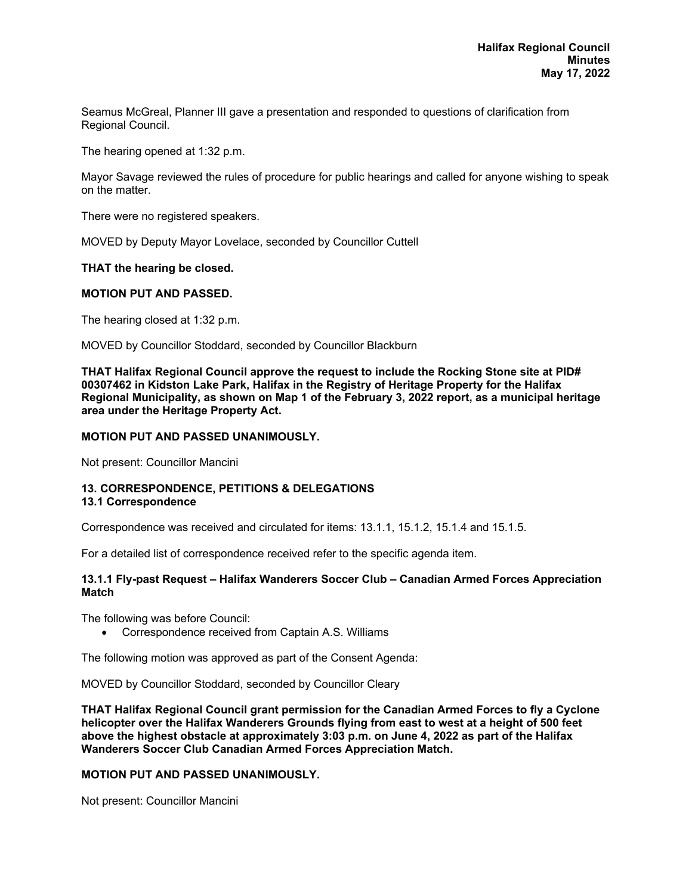Seamus McGreal, Planner III gave a presentation and responded to questions of clarification from Regional Council.

The hearing opened at 1:32 p.m.

Mayor Savage reviewed the rules of procedure for public hearings and called for anyone wishing to speak on the matter.

There were no registered speakers.

MOVED by Deputy Mayor Lovelace, seconded by Councillor Cuttell

#### **THAT the hearing be closed.**

#### **MOTION PUT AND PASSED.**

The hearing closed at 1:32 p.m.

MOVED by Councillor Stoddard, seconded by Councillor Blackburn

**THAT Halifax Regional Council approve the request to include the Rocking Stone site at PID# 00307462 in Kidston Lake Park, Halifax in the Registry of Heritage Property for the Halifax Regional Municipality, as shown on Map 1 of the February 3, 2022 report, as a municipal heritage area under the Heritage Property Act.** 

#### **MOTION PUT AND PASSED UNANIMOUSLY.**

Not present: Councillor Mancini

#### **13. CORRESPONDENCE, PETITIONS & DELEGATIONS 13.1 Correspondence**

Correspondence was received and circulated for items: 13.1.1, 15.1.2, 15.1.4 and 15.1.5.

For a detailed list of correspondence received refer to the specific agenda item.

#### **13.1.1 Fly-past Request – Halifax Wanderers Soccer Club – Canadian Armed Forces Appreciation Match**

The following was before Council:

Correspondence received from Captain A.S. Williams

The following motion was approved as part of the Consent Agenda:

MOVED by Councillor Stoddard, seconded by Councillor Cleary

**THAT Halifax Regional Council grant permission for the Canadian Armed Forces to fly a Cyclone helicopter over the Halifax Wanderers Grounds flying from east to west at a height of 500 feet above the highest obstacle at approximately 3:03 p.m. on June 4, 2022 as part of the Halifax Wanderers Soccer Club Canadian Armed Forces Appreciation Match.** 

#### **MOTION PUT AND PASSED UNANIMOUSLY.**

Not present: Councillor Mancini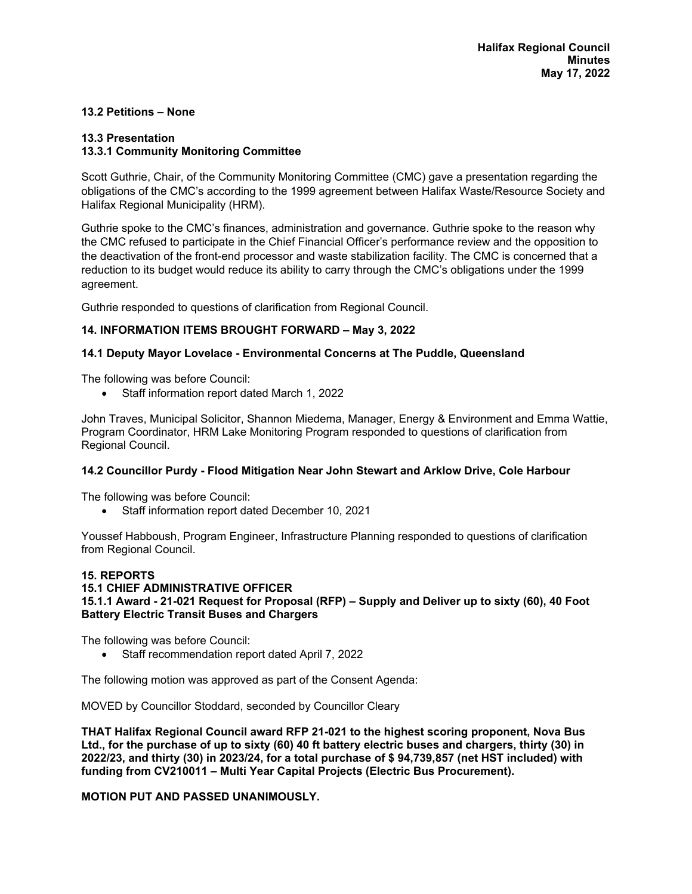# **13.2 Petitions – None**

# **13.3 Presentation**

# **13.3.1 Community Monitoring Committee**

Scott Guthrie, Chair, of the Community Monitoring Committee (CMC) gave a presentation regarding the obligations of the CMC's according to the 1999 agreement between Halifax Waste/Resource Society and Halifax Regional Municipality (HRM).

Guthrie spoke to the CMC's finances, administration and governance. Guthrie spoke to the reason why the CMC refused to participate in the Chief Financial Officer's performance review and the opposition to the deactivation of the front-end processor and waste stabilization facility. The CMC is concerned that a reduction to its budget would reduce its ability to carry through the CMC's obligations under the 1999 agreement.

Guthrie responded to questions of clarification from Regional Council.

# **14. INFORMATION ITEMS BROUGHT FORWARD – May 3, 2022**

### **14.1 Deputy Mayor Lovelace - Environmental Concerns at The Puddle, Queensland**

The following was before Council:

Staff information report dated March 1, 2022

John Traves, Municipal Solicitor, Shannon Miedema, Manager, Energy & Environment and Emma Wattie, Program Coordinator, HRM Lake Monitoring Program responded to questions of clarification from Regional Council.

#### **14.2 Councillor Purdy - Flood Mitigation Near John Stewart and Arklow Drive, Cole Harbour**

The following was before Council:

Staff information report dated December 10, 2021

Youssef Habboush, Program Engineer, Infrastructure Planning responded to questions of clarification from Regional Council.

#### **15. REPORTS**

# **15.1 CHIEF ADMINISTRATIVE OFFICER 15.1.1 Award - 21-021 Request for Proposal (RFP) – Supply and Deliver up to sixty (60), 40 Foot Battery Electric Transit Buses and Chargers**

The following was before Council:

Staff recommendation report dated April 7, 2022

The following motion was approved as part of the Consent Agenda:

MOVED by Councillor Stoddard, seconded by Councillor Cleary

**THAT Halifax Regional Council award RFP 21-021 to the highest scoring proponent, Nova Bus Ltd., for the purchase of up to sixty (60) 40 ft battery electric buses and chargers, thirty (30) in 2022/23, and thirty (30) in 2023/24, for a total purchase of \$ 94,739,857 (net HST included) with funding from CV210011 – Multi Year Capital Projects (Electric Bus Procurement).** 

# **MOTION PUT AND PASSED UNANIMOUSLY.**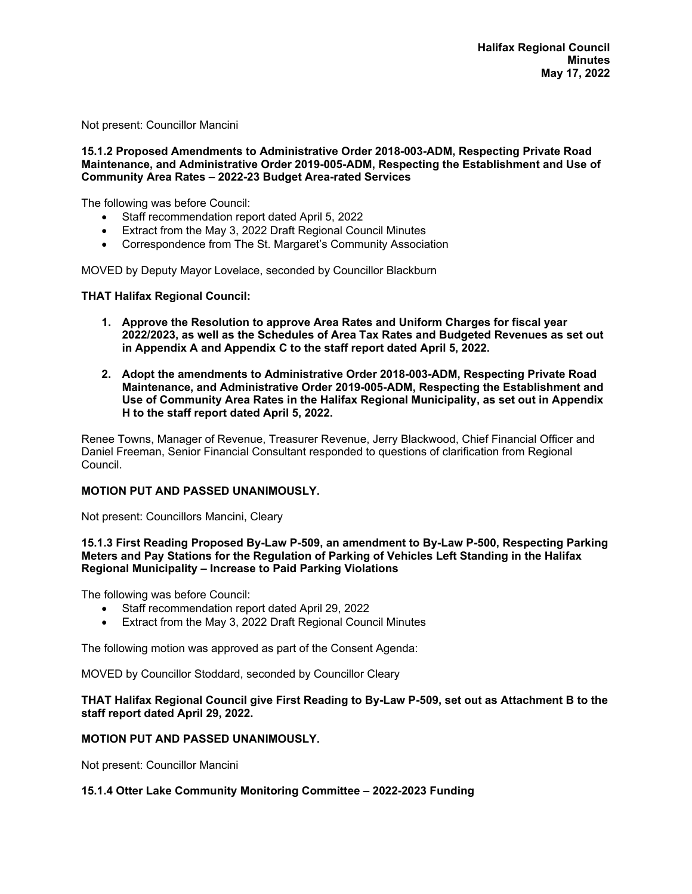Not present: Councillor Mancini

#### **15.1.2 Proposed Amendments to Administrative Order 2018-003-ADM, Respecting Private Road Maintenance, and Administrative Order 2019-005-ADM, Respecting the Establishment and Use of Community Area Rates – 2022-23 Budget Area-rated Services**

The following was before Council:

- Staff recommendation report dated April 5, 2022
- Extract from the May 3, 2022 Draft Regional Council Minutes
- Correspondence from The St. Margaret's Community Association

MOVED by Deputy Mayor Lovelace, seconded by Councillor Blackburn

#### **THAT Halifax Regional Council:**

- **1. Approve the Resolution to approve Area Rates and Uniform Charges for fiscal year 2022/2023, as well as the Schedules of Area Tax Rates and Budgeted Revenues as set out in Appendix A and Appendix C to the staff report dated April 5, 2022.**
- **2. Adopt the amendments to Administrative Order 2018-003-ADM, Respecting Private Road Maintenance, and Administrative Order 2019-005-ADM, Respecting the Establishment and Use of Community Area Rates in the Halifax Regional Municipality, as set out in Appendix H to the staff report dated April 5, 2022.**

Renee Towns, Manager of Revenue, Treasurer Revenue, Jerry Blackwood, Chief Financial Officer and Daniel Freeman, Senior Financial Consultant responded to questions of clarification from Regional Council.

#### **MOTION PUT AND PASSED UNANIMOUSLY.**

Not present: Councillors Mancini, Cleary

#### **15.1.3 First Reading Proposed By-Law P-509, an amendment to By-Law P-500, Respecting Parking Meters and Pay Stations for the Regulation of Parking of Vehicles Left Standing in the Halifax Regional Municipality – Increase to Paid Parking Violations**

The following was before Council:

- Staff recommendation report dated April 29, 2022
- Extract from the May 3, 2022 Draft Regional Council Minutes

The following motion was approved as part of the Consent Agenda:

MOVED by Councillor Stoddard, seconded by Councillor Cleary

#### **THAT Halifax Regional Council give First Reading to By-Law P-509, set out as Attachment B to the staff report dated April 29, 2022.**

#### **MOTION PUT AND PASSED UNANIMOUSLY.**

Not present: Councillor Mancini

#### **15.1.4 Otter Lake Community Monitoring Committee – 2022-2023 Funding**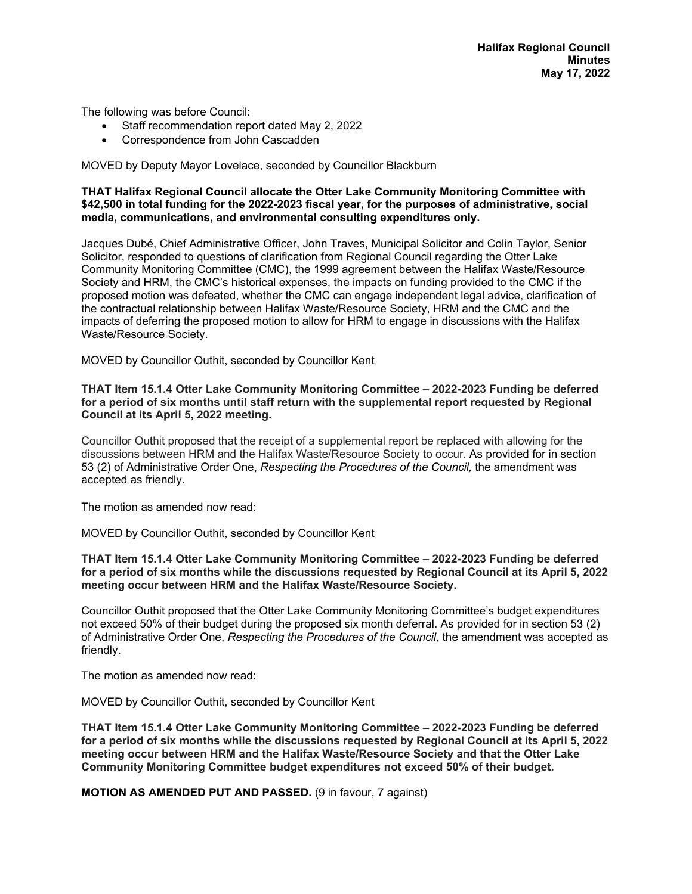The following was before Council:

- Staff recommendation report dated May 2, 2022
- Correspondence from John Cascadden

MOVED by Deputy Mayor Lovelace, seconded by Councillor Blackburn

#### **THAT Halifax Regional Council allocate the Otter Lake Community Monitoring Committee with \$42,500 in total funding for the 2022-2023 fiscal year, for the purposes of administrative, social media, communications, and environmental consulting expenditures only.**

Jacques Dubé, Chief Administrative Officer, John Traves, Municipal Solicitor and Colin Taylor, Senior Solicitor, responded to questions of clarification from Regional Council regarding the Otter Lake Community Monitoring Committee (CMC), the 1999 agreement between the Halifax Waste/Resource Society and HRM, the CMC's historical expenses, the impacts on funding provided to the CMC if the proposed motion was defeated, whether the CMC can engage independent legal advice, clarification of the contractual relationship between Halifax Waste/Resource Society, HRM and the CMC and the impacts of deferring the proposed motion to allow for HRM to engage in discussions with the Halifax Waste/Resource Society.

MOVED by Councillor Outhit, seconded by Councillor Kent

#### **THAT Item 15.1.4 Otter Lake Community Monitoring Committee – 2022-2023 Funding be deferred for a period of six months until staff return with the supplemental report requested by Regional Council at its April 5, 2022 meeting.**

Councillor Outhit proposed that the receipt of a supplemental report be replaced with allowing for the discussions between HRM and the Halifax Waste/Resource Society to occur. As provided for in section 53 (2) of Administrative Order One, *Respecting the Procedures of the Council,* the amendment was accepted as friendly.

The motion as amended now read:

MOVED by Councillor Outhit, seconded by Councillor Kent

#### **THAT Item 15.1.4 Otter Lake Community Monitoring Committee – 2022-2023 Funding be deferred for a period of six months while the discussions requested by Regional Council at its April 5, 2022 meeting occur between HRM and the Halifax Waste/Resource Society.**

Councillor Outhit proposed that the Otter Lake Community Monitoring Committee's budget expenditures not exceed 50% of their budget during the proposed six month deferral. As provided for in section 53 (2) of Administrative Order One, *Respecting the Procedures of the Council,* the amendment was accepted as friendly.

The motion as amended now read:

MOVED by Councillor Outhit, seconded by Councillor Kent

**THAT Item 15.1.4 Otter Lake Community Monitoring Committee – 2022-2023 Funding be deferred for a period of six months while the discussions requested by Regional Council at its April 5, 2022 meeting occur between HRM and the Halifax Waste/Resource Society and that the Otter Lake Community Monitoring Committee budget expenditures not exceed 50% of their budget.**

**MOTION AS AMENDED PUT AND PASSED.** (9 in favour, 7 against)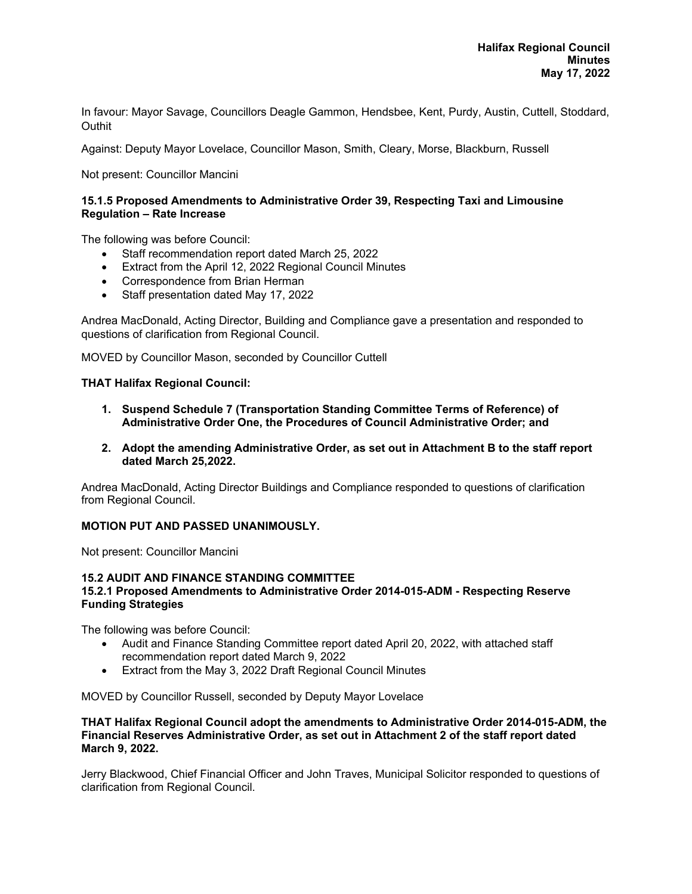In favour: Mayor Savage, Councillors Deagle Gammon, Hendsbee, Kent, Purdy, Austin, Cuttell, Stoddard, **Outhit** 

Against: Deputy Mayor Lovelace, Councillor Mason, Smith, Cleary, Morse, Blackburn, Russell

Not present: Councillor Mancini

### **15.1.5 Proposed Amendments to Administrative Order 39, Respecting Taxi and Limousine Regulation – Rate Increase**

The following was before Council:

- Staff recommendation report dated March 25, 2022
- Extract from the April 12, 2022 Regional Council Minutes
- Correspondence from Brian Herman
- Staff presentation dated May 17, 2022

Andrea MacDonald, Acting Director, Building and Compliance gave a presentation and responded to questions of clarification from Regional Council.

MOVED by Councillor Mason, seconded by Councillor Cuttell

#### **THAT Halifax Regional Council:**

- **1. Suspend Schedule 7 (Transportation Standing Committee Terms of Reference) of Administrative Order One, the Procedures of Council Administrative Order; and**
- **2. Adopt the amending Administrative Order, as set out in Attachment B to the staff report dated March 25,2022.**

Andrea MacDonald, Acting Director Buildings and Compliance responded to questions of clarification from Regional Council.

#### **MOTION PUT AND PASSED UNANIMOUSLY.**

Not present: Councillor Mancini

#### **15.2 AUDIT AND FINANCE STANDING COMMITTEE 15.2.1 Proposed Amendments to Administrative Order 2014-015-ADM - Respecting Reserve Funding Strategies**

The following was before Council:

- Audit and Finance Standing Committee report dated April 20, 2022, with attached staff recommendation report dated March 9, 2022
- Extract from the May 3, 2022 Draft Regional Council Minutes

MOVED by Councillor Russell, seconded by Deputy Mayor Lovelace

#### **THAT Halifax Regional Council adopt the amendments to Administrative Order 2014-015-ADM, the Financial Reserves Administrative Order, as set out in Attachment 2 of the staff report dated March 9, 2022.**

Jerry Blackwood, Chief Financial Officer and John Traves, Municipal Solicitor responded to questions of clarification from Regional Council.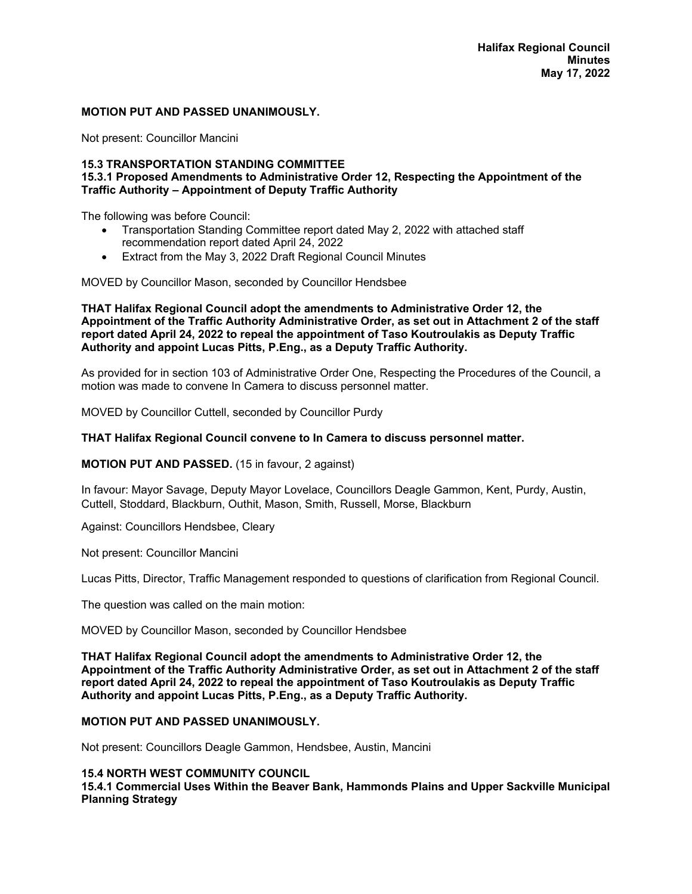#### **MOTION PUT AND PASSED UNANIMOUSLY.**

Not present: Councillor Mancini

#### **15.3 TRANSPORTATION STANDING COMMITTEE 15.3.1 Proposed Amendments to Administrative Order 12, Respecting the Appointment of the Traffic Authority – Appointment of Deputy Traffic Authority**

The following was before Council:

- Transportation Standing Committee report dated May 2, 2022 with attached staff recommendation report dated April 24, 2022
- Extract from the May 3, 2022 Draft Regional Council Minutes

MOVED by Councillor Mason, seconded by Councillor Hendsbee

**THAT Halifax Regional Council adopt the amendments to Administrative Order 12, the Appointment of the Traffic Authority Administrative Order, as set out in Attachment 2 of the staff report dated April 24, 2022 to repeal the appointment of Taso Koutroulakis as Deputy Traffic Authority and appoint Lucas Pitts, P.Eng., as a Deputy Traffic Authority.** 

As provided for in section 103 of Administrative Order One, Respecting the Procedures of the Council, a motion was made to convene In Camera to discuss personnel matter.

MOVED by Councillor Cuttell, seconded by Councillor Purdy

#### **THAT Halifax Regional Council convene to In Camera to discuss personnel matter.**

**MOTION PUT AND PASSED.** (15 in favour, 2 against)

In favour: Mayor Savage, Deputy Mayor Lovelace, Councillors Deagle Gammon, Kent, Purdy, Austin, Cuttell, Stoddard, Blackburn, Outhit, Mason, Smith, Russell, Morse, Blackburn

Against: Councillors Hendsbee, Cleary

Not present: Councillor Mancini

Lucas Pitts, Director, Traffic Management responded to questions of clarification from Regional Council.

The question was called on the main motion:

MOVED by Councillor Mason, seconded by Councillor Hendsbee

**THAT Halifax Regional Council adopt the amendments to Administrative Order 12, the Appointment of the Traffic Authority Administrative Order, as set out in Attachment 2 of the staff report dated April 24, 2022 to repeal the appointment of Taso Koutroulakis as Deputy Traffic Authority and appoint Lucas Pitts, P.Eng., as a Deputy Traffic Authority.** 

#### **MOTION PUT AND PASSED UNANIMOUSLY.**

Not present: Councillors Deagle Gammon, Hendsbee, Austin, Mancini

### **15.4 NORTH WEST COMMUNITY COUNCIL**

**15.4.1 Commercial Uses Within the Beaver Bank, Hammonds Plains and Upper Sackville Municipal Planning Strategy**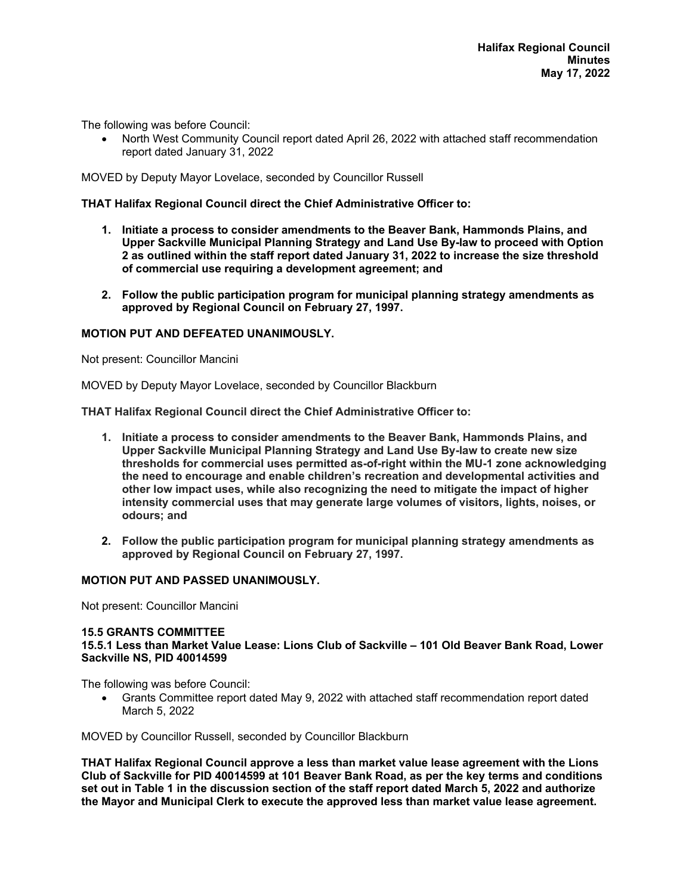The following was before Council:

 North West Community Council report dated April 26, 2022 with attached staff recommendation report dated January 31, 2022

MOVED by Deputy Mayor Lovelace, seconded by Councillor Russell

#### **THAT Halifax Regional Council direct the Chief Administrative Officer to:**

- **1. Initiate a process to consider amendments to the Beaver Bank, Hammonds Plains, and Upper Sackville Municipal Planning Strategy and Land Use By-law to proceed with Option 2 as outlined within the staff report dated January 31, 2022 to increase the size threshold of commercial use requiring a development agreement; and**
- **2. Follow the public participation program for municipal planning strategy amendments as approved by Regional Council on February 27, 1997.**

### **MOTION PUT AND DEFEATED UNANIMOUSLY.**

Not present: Councillor Mancini

MOVED by Deputy Mayor Lovelace, seconded by Councillor Blackburn

**THAT Halifax Regional Council direct the Chief Administrative Officer to:** 

- **1. Initiate a process to consider amendments to the Beaver Bank, Hammonds Plains, and Upper Sackville Municipal Planning Strategy and Land Use By-law to create new size thresholds for commercial uses permitted as-of-right within the MU-1 zone acknowledging the need to encourage and enable children's recreation and developmental activities and other low impact uses, while also recognizing the need to mitigate the impact of higher intensity commercial uses that may generate large volumes of visitors, lights, noises, or odours; and**
- **2. Follow the public participation program for municipal planning strategy amendments as approved by Regional Council on February 27, 1997.**

#### **MOTION PUT AND PASSED UNANIMOUSLY.**

Not present: Councillor Mancini

# **15.5 GRANTS COMMITTEE**

**15.5.1 Less than Market Value Lease: Lions Club of Sackville – 101 Old Beaver Bank Road, Lower Sackville NS, PID 40014599** 

The following was before Council:

 Grants Committee report dated May 9, 2022 with attached staff recommendation report dated March 5, 2022

MOVED by Councillor Russell, seconded by Councillor Blackburn

**THAT Halifax Regional Council approve a less than market value lease agreement with the Lions Club of Sackville for PID 40014599 at 101 Beaver Bank Road, as per the key terms and conditions set out in Table 1 in the discussion section of the staff report dated March 5, 2022 and authorize the Mayor and Municipal Clerk to execute the approved less than market value lease agreement.**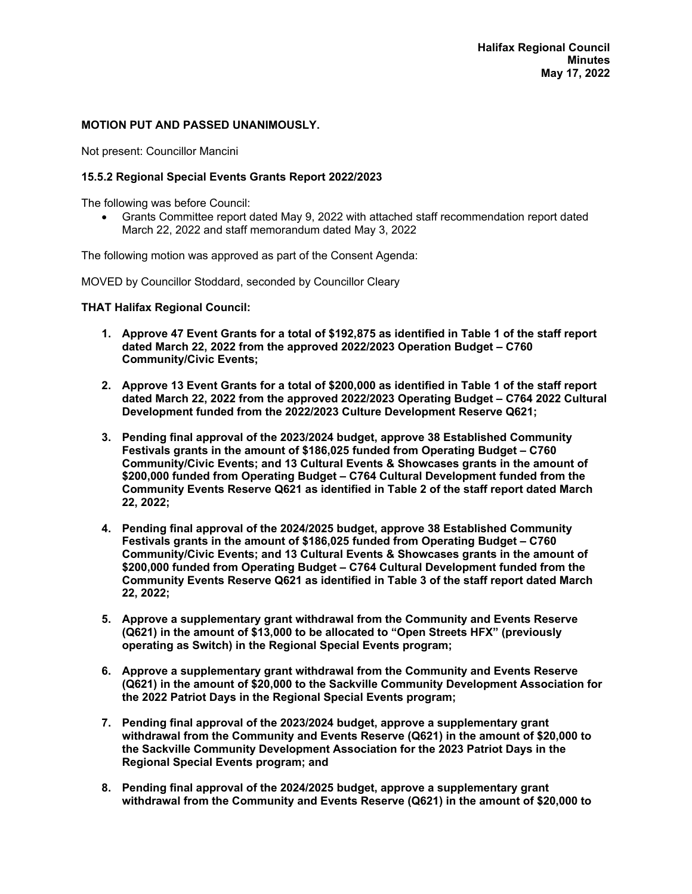#### **MOTION PUT AND PASSED UNANIMOUSLY.**

Not present: Councillor Mancini

#### **15.5.2 Regional Special Events Grants Report 2022/2023**

The following was before Council:

 Grants Committee report dated May 9, 2022 with attached staff recommendation report dated March 22, 2022 and staff memorandum dated May 3, 2022

The following motion was approved as part of the Consent Agenda:

MOVED by Councillor Stoddard, seconded by Councillor Cleary

**THAT Halifax Regional Council:** 

- **1. Approve 47 Event Grants for a total of \$192,875 as identified in Table 1 of the staff report dated March 22, 2022 from the approved 2022/2023 Operation Budget – C760 Community/Civic Events;**
- **2. Approve 13 Event Grants for a total of \$200,000 as identified in Table 1 of the staff report dated March 22, 2022 from the approved 2022/2023 Operating Budget – C764 2022 Cultural Development funded from the 2022/2023 Culture Development Reserve Q621;**
- **3. Pending final approval of the 2023/2024 budget, approve 38 Established Community Festivals grants in the amount of \$186,025 funded from Operating Budget – C760 Community/Civic Events; and 13 Cultural Events & Showcases grants in the amount of \$200,000 funded from Operating Budget – C764 Cultural Development funded from the Community Events Reserve Q621 as identified in Table 2 of the staff report dated March 22, 2022;**
- **4. Pending final approval of the 2024/2025 budget, approve 38 Established Community Festivals grants in the amount of \$186,025 funded from Operating Budget – C760 Community/Civic Events; and 13 Cultural Events & Showcases grants in the amount of \$200,000 funded from Operating Budget – C764 Cultural Development funded from the Community Events Reserve Q621 as identified in Table 3 of the staff report dated March 22, 2022;**
- **5. Approve a supplementary grant withdrawal from the Community and Events Reserve (Q621) in the amount of \$13,000 to be allocated to "Open Streets HFX" (previously operating as Switch) in the Regional Special Events program;**
- **6. Approve a supplementary grant withdrawal from the Community and Events Reserve (Q621) in the amount of \$20,000 to the Sackville Community Development Association for the 2022 Patriot Days in the Regional Special Events program;**
- **7. Pending final approval of the 2023/2024 budget, approve a supplementary grant withdrawal from the Community and Events Reserve (Q621) in the amount of \$20,000 to the Sackville Community Development Association for the 2023 Patriot Days in the Regional Special Events program; and**
- **8. Pending final approval of the 2024/2025 budget, approve a supplementary grant withdrawal from the Community and Events Reserve (Q621) in the amount of \$20,000 to**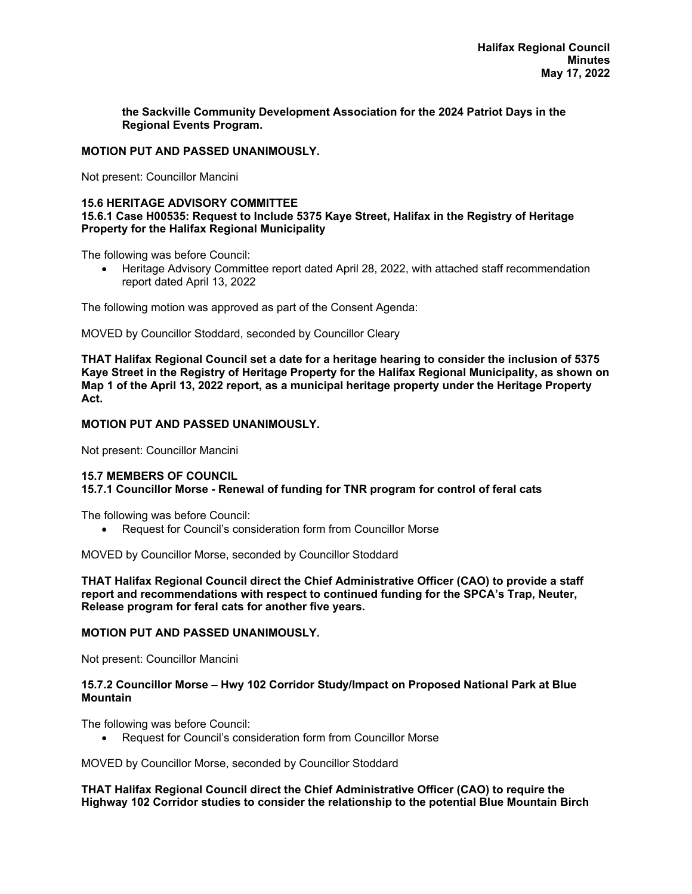**the Sackville Community Development Association for the 2024 Patriot Days in the Regional Events Program.** 

#### **MOTION PUT AND PASSED UNANIMOUSLY.**

Not present: Councillor Mancini

#### **15.6 HERITAGE ADVISORY COMMITTEE**

#### **15.6.1 Case H00535: Request to Include 5375 Kaye Street, Halifax in the Registry of Heritage Property for the Halifax Regional Municipality**

The following was before Council:

 Heritage Advisory Committee report dated April 28, 2022, with attached staff recommendation report dated April 13, 2022

The following motion was approved as part of the Consent Agenda:

MOVED by Councillor Stoddard, seconded by Councillor Cleary

**THAT Halifax Regional Council set a date for a heritage hearing to consider the inclusion of 5375 Kaye Street in the Registry of Heritage Property for the Halifax Regional Municipality, as shown on Map 1 of the April 13, 2022 report, as a municipal heritage property under the Heritage Property Act.** 

### **MOTION PUT AND PASSED UNANIMOUSLY.**

Not present: Councillor Mancini

# **15.7 MEMBERS OF COUNCIL**

# **15.7.1 Councillor Morse - Renewal of funding for TNR program for control of feral cats**

The following was before Council:

Request for Council's consideration form from Councillor Morse

MOVED by Councillor Morse, seconded by Councillor Stoddard

**THAT Halifax Regional Council direct the Chief Administrative Officer (CAO) to provide a staff report and recommendations with respect to continued funding for the SPCA's Trap, Neuter, Release program for feral cats for another five years.**

#### **MOTION PUT AND PASSED UNANIMOUSLY.**

Not present: Councillor Mancini

#### **15.7.2 Councillor Morse – Hwy 102 Corridor Study/Impact on Proposed National Park at Blue Mountain**

The following was before Council:

Request for Council's consideration form from Councillor Morse

MOVED by Councillor Morse, seconded by Councillor Stoddard

#### **THAT Halifax Regional Council direct the Chief Administrative Officer (CAO) to require the Highway 102 Corridor studies to consider the relationship to the potential Blue Mountain Birch**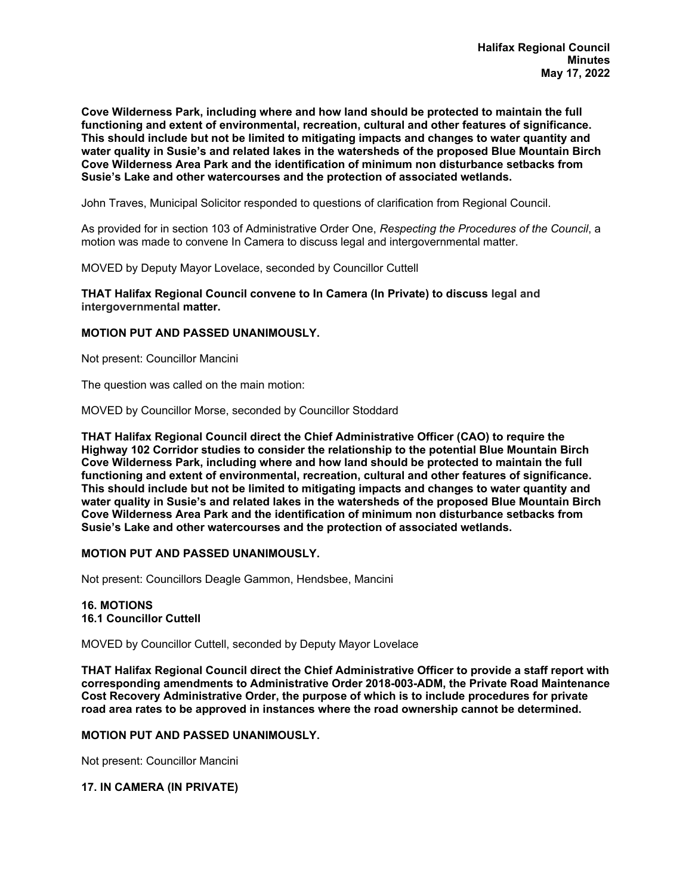**Cove Wilderness Park, including where and how land should be protected to maintain the full functioning and extent of environmental, recreation, cultural and other features of significance. This should include but not be limited to mitigating impacts and changes to water quantity and water quality in Susie's and related lakes in the watersheds of the proposed Blue Mountain Birch Cove Wilderness Area Park and the identification of minimum non disturbance setbacks from Susie's Lake and other watercourses and the protection of associated wetlands.** 

John Traves, Municipal Solicitor responded to questions of clarification from Regional Council.

As provided for in section 103 of Administrative Order One, *Respecting the Procedures of the Council*, a motion was made to convene In Camera to discuss legal and intergovernmental matter.

MOVED by Deputy Mayor Lovelace, seconded by Councillor Cuttell

**THAT Halifax Regional Council convene to In Camera (In Private) to discuss legal and intergovernmental matter.** 

#### **MOTION PUT AND PASSED UNANIMOUSLY.**

Not present: Councillor Mancini

The question was called on the main motion:

MOVED by Councillor Morse, seconded by Councillor Stoddard

**THAT Halifax Regional Council direct the Chief Administrative Officer (CAO) to require the Highway 102 Corridor studies to consider the relationship to the potential Blue Mountain Birch Cove Wilderness Park, including where and how land should be protected to maintain the full functioning and extent of environmental, recreation, cultural and other features of significance. This should include but not be limited to mitigating impacts and changes to water quantity and water quality in Susie's and related lakes in the watersheds of the proposed Blue Mountain Birch Cove Wilderness Area Park and the identification of minimum non disturbance setbacks from Susie's Lake and other watercourses and the protection of associated wetlands.** 

#### **MOTION PUT AND PASSED UNANIMOUSLY.**

Not present: Councillors Deagle Gammon, Hendsbee, Mancini

#### **16. MOTIONS 16.1 Councillor Cuttell**

MOVED by Councillor Cuttell, seconded by Deputy Mayor Lovelace

**THAT Halifax Regional Council direct the Chief Administrative Officer to provide a staff report with corresponding amendments to Administrative Order 2018-003-ADM, the Private Road Maintenance Cost Recovery Administrative Order, the purpose of which is to include procedures for private road area rates to be approved in instances where the road ownership cannot be determined.** 

#### **MOTION PUT AND PASSED UNANIMOUSLY.**

Not present: Councillor Mancini

#### **17. IN CAMERA (IN PRIVATE)**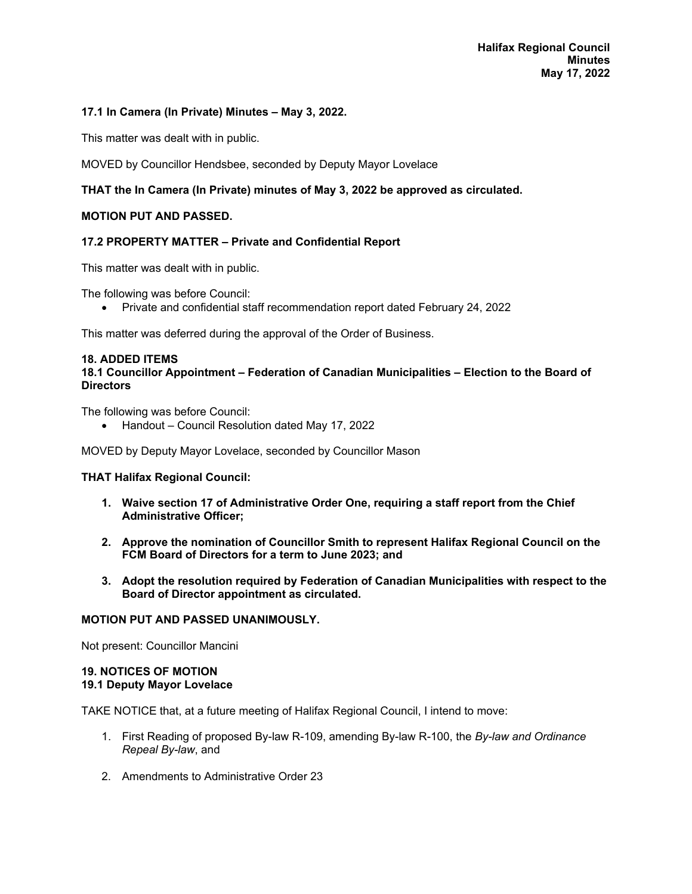#### **17.1 In Camera (In Private) Minutes – May 3, 2022.**

This matter was dealt with in public.

MOVED by Councillor Hendsbee, seconded by Deputy Mayor Lovelace

# **THAT the In Camera (In Private) minutes of May 3, 2022 be approved as circulated.**

#### **MOTION PUT AND PASSED.**

### **17.2 PROPERTY MATTER – Private and Confidential Report**

This matter was dealt with in public.

The following was before Council:

Private and confidential staff recommendation report dated February 24, 2022

This matter was deferred during the approval of the Order of Business.

#### **18. ADDED ITEMS**

#### **18.1 Councillor Appointment – Federation of Canadian Municipalities – Election to the Board of Directors**

The following was before Council:

Handout – Council Resolution dated May 17, 2022

MOVED by Deputy Mayor Lovelace, seconded by Councillor Mason

#### **THAT Halifax Regional Council:**

- **1. Waive section 17 of Administrative Order One, requiring a staff report from the Chief Administrative Officer;**
- **2. Approve the nomination of Councillor Smith to represent Halifax Regional Council on the FCM Board of Directors for a term to June 2023; and**
- **3. Adopt the resolution required by Federation of Canadian Municipalities with respect to the Board of Director appointment as circulated.**

#### **MOTION PUT AND PASSED UNANIMOUSLY.**

Not present: Councillor Mancini

# **19. NOTICES OF MOTION**

# **19.1 Deputy Mayor Lovelace**

TAKE NOTICE that, at a future meeting of Halifax Regional Council, I intend to move:

- 1. First Reading of proposed By-law R-109, amending By-law R-100, the *By-law and Ordinance Repeal By-law*, and
- 2. Amendments to Administrative Order 23